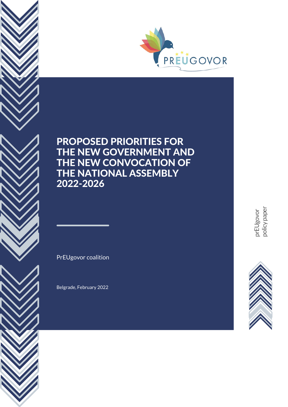

PrEUgovor coalition

Belgrade, February 2022

pre<br>E<br>E<br>E<br>E<br>E Ugovor<br>cy pape policy paper

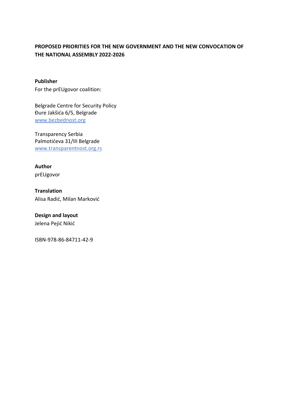**Publisher** For the prEUgovor coalition:

Belgrade Centre for Security Policy Đure Jakšića 6/5, Belgrade [www.bezbednost.org](http://www.bezbednost.org/)

Transparency Serbia Palmotićeva 31/III Belgrade [www.transparentnost.org.rs](http://www.transparentnost.org.rs/)

**Author**

prEUgovor

**Translation** Alisa Radić, Milan Marković

**Design and layout**

Jelena Pejić Nikić

ISBN-978-86-84711-42-9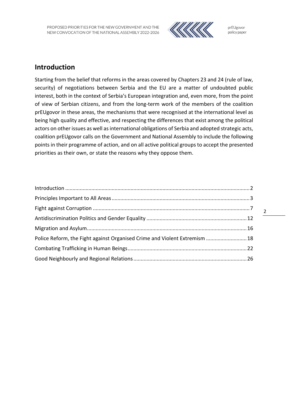

## <span id="page-3-0"></span>**Introduction**

Starting from the belief that reforms in the areas covered by Chapters 23 and 24 (rule of law, security) of negotiations between Serbia and the EU are a matter of undoubted public interest, both in the context of Serbia's European integration and, even more, from the point of view of Serbian citizens, and from the long-term work of the members of the coalition prEUgovor in these areas, the mechanisms that were recognised at the international level as being high quality and effective, and respecting the differences that exist among the political actors on other issues as well as international obligations of Serbia and adopted strategic acts, coalition prEUgovor calls on the Government and National Assembly to include the following points in their programme of action, and on all active political groups to accept the presented priorities as their own, or state the reasons why they oppose them.

| Police Reform, the Fight against Organised Crime and Violent Extremism  18 |  |
|----------------------------------------------------------------------------|--|
|                                                                            |  |
|                                                                            |  |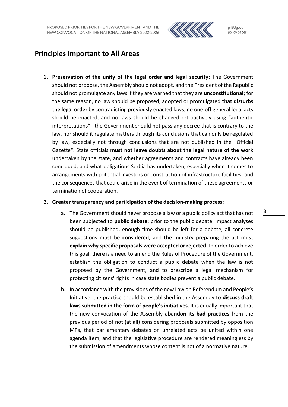

prEUgovor policy paper

## <span id="page-4-0"></span>**Principles Important to All Areas**

1. **Preservation of the unity of the legal order and legal security**: The Government should not propose, the Assembly should not adopt, and the President of the Republic should not promulgate any laws if they are warned that they are **unconstitutional**; for the same reason, no law should be proposed, adopted or promulgated **that disturbs the legal order** by contradicting previously enacted laws, no one-off general legal acts should be enacted, and no laws should be changed retroactively using "authentic interpretations"; the Government should not pass any decree that is contrary to the law, nor should it regulate matters through its conclusions that can only be regulated by law, especially not through conclusions that are not published in the "Official Gazette". State officials **must not leave doubts about the legal nature of the work** undertaken by the state, and whether agreements and contracts have already been concluded, and what obligations Serbia has undertaken, especially when it comes to arrangements with potential investors or construction of infrastructure facilities, and the consequences that could arise in the event of termination of these agreements or termination of cooperation.

### 2. **Greater transparency and participation of the decision-making process:**

- a. The Government should never propose a law or a public policy act that has not been subjected to **public debate**; prior to the public debate, impact analyses should be published, enough time should be left for a debate, all concrete suggestions must be **considered**, and the ministry preparing the act must **explain why specific proposals were accepted or rejected**. In order to achieve this goal, there is a need to amend the Rules of Procedure of the Government, establish the obligation to conduct a public debate when the law is not proposed by the Government, and to prescribe a legal mechanism for protecting citizens' rights in case state bodies prevent a public debate.
- b. In accordance with the provisions of the new Law on Referendum and People's Initiative, the practice should be established in the Assembly to **discuss draft laws submitted in the form of people's initiatives**. It is equally important that the new convocation of the Assembly **abandon its bad practices** from the previous period of not (at all) considering proposals submitted by opposition MPs, that parliamentary debates on unrelated acts be united within one agenda item, and that the legislative procedure are rendered meaningless by the submission of amendments whose content is not of a normative nature.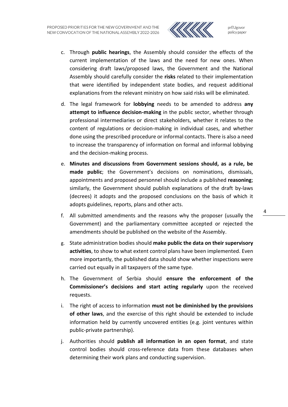

- c. Through **public hearings**, the Assembly should consider the effects of the current implementation of the laws and the need for new ones. When considering draft laws/proposed laws, the Government and the National Assembly should carefully consider the **risks** related to their implementation that were identified by independent state bodies, and request additional explanations from the relevant ministry on how said risks will be eliminated.
- d. The legal framework for **lobbying** needs to be amended to address **any attempt to influence decision-making** in the public sector, whether through professional intermediaries or direct stakeholders, whether it relates to the content of regulations or decision-making in individual cases, and whether done using the prescribed procedure or informal contacts. There is also a need to increase the transparency of information on formal and informal lobbying and the decision-making process.
- e. **Minutes and discussions from Government sessions should, as a rule, be made public**; the Government's decisions on nominations, dismissals, appointments and proposed personnel should include a published **reasoning**; similarly, the Government should publish explanations of the draft by-laws (decrees) it adopts and the proposed conclusions on the basis of which it adopts guidelines, reports, plans and other acts.
- f. All submitted amendments and the reasons why the proposer (usually the Government) and the parliamentary committee accepted or rejected the amendments should be published on the website of the Assembly.
- g. State administration bodies should **make public the data on their supervisory activities**, to show to what extent control plans have been implemented. Even more importantly, the published data should show whether inspections were carried out equally in all taxpayers of the same type.
- h. The Government of Serbia should **ensure the enforcement of the Commissioner's decisions and start acting regularly** upon the received requests.
- i. The right of access to information **must not be diminished by the provisions of other laws**, and the exercise of this right should be extended to include information held by currently uncovered entities (e.g. joint ventures within public-private partnership).
- j. Authorities should **publish all information in an open format**, and state control bodies should cross-reference data from these databases when determining their work plans and conducting supervision.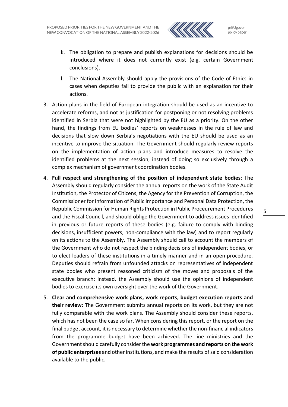

- k. The obligation to prepare and publish explanations for decisions should be introduced where it does not currently exist (e.g. certain Government conclusions).
- l. The National Assembly should apply the provisions of the Code of Ethics in cases when deputies fail to provide the public with an explanation for their actions.
- 3. Action plans in the field of European integration should be used as an incentive to accelerate reforms, and not as justification for postponing or not resolving problems identified in Serbia that were not highlighted by the EU as a priority. On the other hand, the findings from EU bodies' reports on weaknesses in the rule of law and decisions that slow down Serbia's negotiations with the EU should be used as an incentive to improve the situation. The Government should regularly review reports on the implementation of action plans and introduce measures to resolve the identified problems at the next session, instead of doing so exclusively through a complex mechanism of government coordination bodies.
- 4. **Full respect and strengthening of the position of independent state bodies**: The Assembly should regularly consider the annual reports on the work of the State Audit Institution, the Protector of Citizens, the Agency for the Prevention of Corruption, the Commissioner for Information of Public Importance and Personal Data Protection, the Republic Commission for Human Rights Protection in Public Proceurement Procedures and the Fiscal Council, and should oblige the Government to address issues identified in previous or future reports of these bodies (e.g. failure to comply with binding decisions, insufficient powers, non-compliance with the law) and to report regularly on its actions to the Assembly. The Assembly should call to account the members of the Government who do not respect the binding decisions of independent bodies, or to elect leaders of these institutions in a timely manner and in an open procedure. Deputies should refrain from unfounded attacks on representatives of independent state bodies who present reasoned criticism of the moves and proposals of the executive branch; instead, the Assembly should use the opinions of independent bodies to exercise its own oversight over the work of the Government.
- 5. **Clear and comprehensive work plans, work reports, budget execution reports and their review**: The Government submits annual reports on its work, but they are not fully comparable with the work plans. The Assembly should consider these reports, which has not been the case so far. When considering this report, or the report on the final budget account, it is necessary to determine whether the non-financial indicators from the programme budget have been achieved. The line ministries and the Government should carefully consider the **work programmes and reports on the work of public enterprises** and other institutions, and make the results of said consideration available to the public.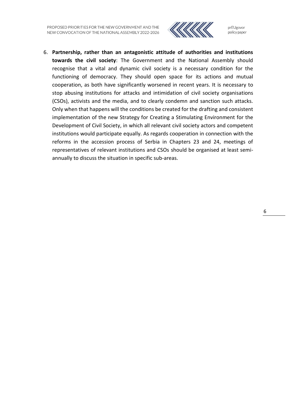

prEUgovor policy paper

6. **Partnership, rather than an antagonistic attitude of authorities and institutions towards the civil society**: The Government and the National Assembly should recognise that a vital and dynamic civil society is a necessary condition for the functioning of democracy. They should open space for its actions and mutual cooperation, as both have significantly worsened in recent years. It is necessary to stop abusing institutions for attacks and intimidation of civil society organisations (CSOs), activists and the media, and to clearly condemn and sanction such attacks. Only when that happens will the conditions be created for the drafting and consistent implementation of the new Strategy for Creating a Stimulating Environment for the Development of Civil Society, in which all relevant civil society actors and competent institutions would participate equally. As regards cooperation in connection with the reforms in the accession process of Serbia in Chapters 23 and 24, meetings of representatives of relevant institutions and CSOs should be organised at least semiannually to discuss the situation in specific sub-areas.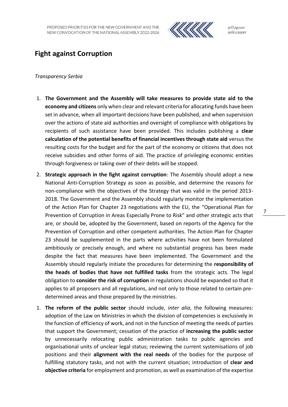

## <span id="page-8-0"></span>**Fight against Corruption**

### *Transparency Serbia*

- 1. **The Government and the Assembly will take measures to provide state aid to the economy and citizens** only when clear and relevant criteria for allocating funds have been set in advance, when all important decisions have been published, and when supervision over the actions of state aid authorities and oversight of compliance with obligations by recipients of such assistance have been provided. This includes publishing a **clear calculation of the potential benefits of financial incentives through state aid** versus the resulting costs for the budget and for the part of the economy or citizens that does not receive subsidies and other forms of aid. The practice of privileging economic entities through forgiveness or taking over of their debts will be stopped.
- 2. **Strategic approach in the fight against corruption**: The Assembly should adopt a new National Anti-Corruption Strategy as soon as possible, and determine the reasons for non-compliance with the objectives of the Strategy that was valid in the period 2013- 2018. The Government and the Assembly should regularly monitor the implementation of the Action Plan for Chapter 23 negotiations with the EU, the "Operational Plan for Prevention of Corruption in Areas Especially Prone to Risk" and other strategic acts that are, or should be, adopted by the Government, based on reports of the Agency for the Prevention of Corruption and other competent authorities. The Action Plan for Chapter 23 should be supplemented in the parts where activities have not been formulated ambitiously or precisely enough, and where no substantial progress has been made despite the fact that measures have been implemented. The Government and the Assembly should regularly initiate the procedures for determining the **responsibility of the heads of bodies that have not fulfilled tasks** from the strategic acts. The legal obligation to **consider the risk of corruption** in regulations should be expanded so that it applies to all proposers and all regulations, and not only to those related to certain predetermined areas and those prepared by the ministries.
- 1. **The reform of the public sector** should include, *inter alia*, the following measures: adoption of the Law on Ministries in which the division of competencies is exclusively in the function of efficiency of work, and not in the function of meeting the needs of parties that support the Government; cessation of the practice of **increasing the public sector** by unnecessarily relocating public administration tasks to public agencies and organisational units of unclear legal status; reviewing the current systemisations of job positions and their **alignment with the real needs** of the bodies for the purpose of fulfilling statutory tasks, and not with the current situation; introduction of **clear and objective criteria** for employment and promotion, as well as examination of the expertise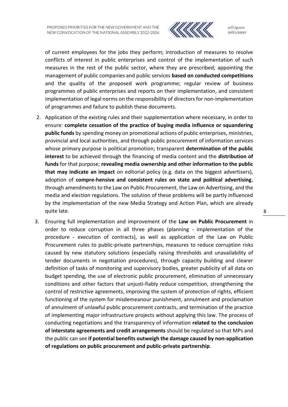

of current employees for the jobs they perform; introduction of measures to resolve conflicts of interest in public enterprises and control of the implementation of such measures in the rest of the public sector, where they are prescribed; appointing the management of public companies and public services **based on conducted competitions** and the quality of the proposed work programme; regular review of business programmes of public enterprises and reports on their implementation, and consistent implementation of legal norms on the responsibility of directors for non-implementation of programmes and failure to publish these documents.

- 2. Application of the existing rules and their supplementation where necessary, in order to ensure: **complete cessation of the practice of buying media influence or squandering public funds** by spending money on promotional actions of public enterprises, ministries, provincial and local authorities, and through public procurement of information services whose primary purpose is political promotion; transparent **determination of the public interest** to be achieved through the financing of media content and the **distribution of funds** for that purpose; **revealing media ownership and other information to the public that may indicate an impact** on editorial policy (e.g. data on the biggest advertisers), adoption of **compre-hensive and consistent rules on state and political advertising**, through amendments to the Law on Public Procurement, the Law on Advertising, and the media and election regulations. The solution of these problems will be partly influenced by the implementation of the new Media Strategy and Action Plan, which are already quite late.
- 3. Ensuring full implementation and improvement of the **Law on Public Procurement** in order to reduce corruption in all three phases (planning - implementation of the procedure - execution of contracts), as well as application of the Law on Public Procurement rules to public-private partnerships, measures to reduce corruption risks caused by new statutory solutions (especially raising thresholds and unavailability of tender documents in negotiation procedures), through capacity building and clearer definition of tasks of monitoring and supervisory bodies, greater publicity of all data on budget spending, the use of electronic public procurement, elimination of unnecessary conditions and other factors that unjusti-fiably reduce competition, strengthening the control of restrictive agreements, improving the system of protection of rights, efficient functioning of the system for misdemeanour punishment, annulment and proclamation of annulment of unlawful public procurement contracts, and termination of the practice of implementing major infrastructure projects without applying this law. The process of conducting negotiations and the transparency of information **related to the conclusion of interstate agreements and credit arrangements** should be regulated so that MPs and the public can see **if potential benefits outweigh the damage caused by non-application of regulations on public procurement and public-private partnership**.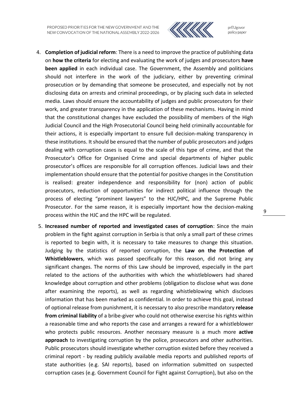

prEUgovor policy paper

- 4. **Completion of judicial reform**: There is a need to improve the practice of publishing data on **how the criteria** for electing and evaluating the work of judges and prosecutors **have been applied** in each individual case. The Government, the Assembly and politicians should not interfere in the work of the judiciary, either by preventing criminal prosecution or by demanding that someone be prosecuted, and especially not by not disclosing data on arrests and criminal proceedings, or by placing such data in selected media. Laws should ensure the accountability of judges and public prosecutors for their work, and greater transparency in the application of these mechanisms. Having in mind that the constitutional changes have excluded the possibility of members of the High Judicial Council and the High Prosecutorial Council being held criminally accountable for their actions, it is especially important to ensure full decision-making transparency in these institutions. It should be ensured that the number of public prosecutors and judges dealing with corruption cases is equal to the scale of this type of crime, and that the Prosecutor's Office for Organised Crime and special departments of higher public prosecutor's offices are responsible for all corruption offences. Judicial laws and their implementation should ensure that the potential for positive changes in the Constitution is realised: greater independence and responsibility for (non) action of public prosecutors, reduction of opportunities for indirect political influence through the process of electing "prominent lawyers" to the HJC/HPC, and the Supreme Public Prosecutor. For the same reason, it is especially important how the decision-making process within the HJC and the HPC will be regulated.
- 5. **Increased number of reported and investigated cases of corruption**: Since the main problem in the fight against corruption in Serbia is that only a small part of these crimes is reported to begin with, it is necessary to take measures to change this situation. Judging by the statistics of reported corruption, the **Law on the Protection of Whistleblowers**, which was passed specifically for this reason, did not bring any significant changes. The norms of this Law should be improved, especially in the part related to the actions of the authorities with which the whistleblowers had shared knowledge about corruption and other problems (obligation to disclose what was done after examining the reports), as well as regarding whistleblowing which discloses information that has been marked as confidential. In order to achieve this goal, instead of optional release from punishment, it is necessary to also prescribe mandatory **release from criminal liability** of a bribe-giver who could not otherwise exercise his rights within a reasonable time and who reports the case and arranges a reward for a whistleblower who protects public resources. Another necessary measure is a much more **active approach** to investigating corruption by the police, prosecutors and other authorities. Public prosecutors should investigate whether corruption existed before they received a criminal report - by reading publicly available media reports and published reports of state authorities (e.g. SAI reports), based on information submitted on suspected corruption cases (e.g. Government Council for Fight against Corruption), but also on the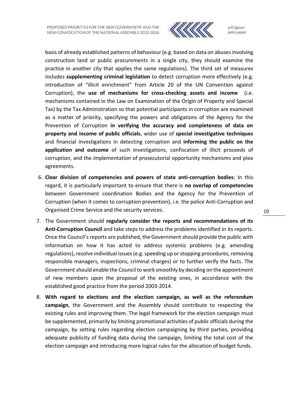

basis of already established patterns of behaviour (e.g. based on data on abuses involving construction land or public procurements in a single city, they should examine the practice in another city that applies the same regulations). The third set of measures includes **supplementing criminal legislation** to detect corruption more effectively (e.g. introduction of "illicit enrichment" from Article 20 of the UN Convention against Corruption), the **use of mechanisms for cross-checking assets and income** (i.e. mechanisms contained in the Law on Examination of the Origin of Property and Special Tax) by the Tax Administration so that potential participants in corruption are examined as a matter of priority, specifying the powers and obligations of the Agency for the Prevention of Corruption **in verifying the accuracy and completeness of data on property and income of public officials**, wider use of **special investigative techniques** and financial investigations in detecting corruption and **informing the public on the application and outcome** of such investigations, confiscation of illicit proceeds of corruption, and the implementation of prosecutorial opportunity mechanisms and plea agreements.

- 6. **Clear division of competencies and powers of state anti-corruption bodies**: In this regard, it is particularly important to ensure that there is **no overlap of competencies**  between Government coordination Bodies and the Agency for the Prevention of Corruption (when it comes to corruption prevention), i.e. the police Anti-Corruption and Organised Crime Service and the security services.
- 7. The Government should **regularly consider the reports and recommendations of its Anti-Corruption Council** and take steps to address the problems identified in its reports. Once the Council's reports are published, the Government should provide the public with information on how it has acted to address systemic problems (e.g. amending regulations), resolve individual issues (e.g. speeding up or stopping procedures, removing responsible managers, inspections, criminal charges) or to further verify the facts. The Government should enable the Council to work smoothly by deciding on the appointment of new members upon the proposal of the existing ones, in accordance with the established good practice from the period 2003-2014.
- 8. **With regard to elections and the election campaign, as well as the referendum campaign**, the Government and the Assembly should contribute to respecting the existing rules and improving them. The legal framework for the election campaign must be supplemented, primarily by limiting promotional activities of public officials during the campaign, by setting rules regarding election campaigning by third parties, providing adequate publicity of funding data during the campaign, limiting the total cost of the election campaign and introducing more logical rules for the allocation of budget funds.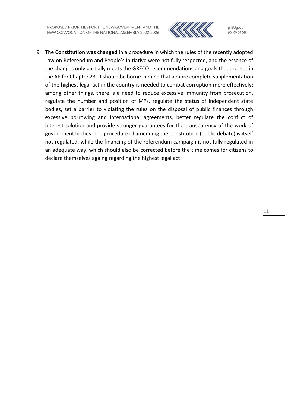

prEUgovor policy paper

9. The **Constitution was changed** in a procedure in which the rules of the recently adopted Law on Referendum and People's Initiative were not fully respected, and the essence of the changes only partially meets the GRECO recommendations and goals that are set in the AP for Chapter 23. It should be borne in mind that a more complete supplementation of the highest legal act in the country is needed to combat corruption more effectively; among other things, there is a need to reduce excessive immunity from prosecution, regulate the number and position of MPs, regulate the status of independent state bodies, set a barrier to violating the rules on the disposal of public finances through excessive borrowing and international agreements, better regulate the conflict of interest solution and provide stronger guarantees for the transparency of the work of government bodies. The procedure of amending the Constitution (public debate) is itself not regulated, while the financing of the referendum campaign is not fully regulated in an adequate way, which should also be corrected before the time comes for citizens to declare themselves againg regarding the highest legal act.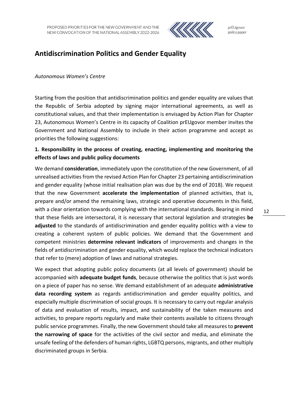

## <span id="page-13-0"></span>**Antidiscrimination Politics and Gender Equality**

### *Autonomous Women's Centre*

Starting from the position that antidiscrimination politics and gender equality are values that the Republic of Serbia adopted by signing major international agreements, as well as constitutional values, and that their implementation is envisaged by Action Plan for Chapter 23, Autonomous Women's Centre in its capacity of Coalition prEUgovor member invites the Government and National Assembly to include in their action programme and accept as priorities the following suggestions:

## **1. Responsibility in the process of creating, enacting, implementing and monitoring the effects of laws and public policy documents**

We demand **consideration**, immediately upon the constitution of the new Government, of all unrealised activities from the revised Action Plan for Chapter 23 pertaining antidiscrimination and gender equality (whose initial realisation plan was due by the end of 2018). We request that the new Government **accelerate the implementation** of planned activities, that is, prepare and/or amend the remaining laws, strategic and operative documents in this field, with a clear orientation towards complying with the international standards. Bearing in mind that these fields are intersectoral, it is necessary that sectoral legislation and strategies **be adjusted** to the standards of antidiscrimination and gender equality politics with a view to creating a coherent system of public policies. We demand that the Government and competent ministries **determine relevant indicators** of improvements and changes in the fields of antidiscrimination and gender equality, which would replace the technical indicators that refer to (mere) adoption of laws and national strategies.

We expect that adopting public policy documents (at all levels of government) should be accompanied with **adequate budget funds**, because otherwise the politics that is just words on a piece of paper has no sense. We demand establishment of an adequate **administrative data recording system** as regards antidiscrimination and gender equality politics, and especially multiple discrimination of social groups. It is necessary to carry out regular analysis of data and evaluation of results, impact, and sustainability of the taken measures and activities, to prepare reports regularly and make their contents available to citizens through public service programmes. Finally, the new Government should take all measures to **prevent the narrowing of space** for the activities of the civil sector and media, and eliminate the unsafe feeling of the defenders of human rights, LGBTQ persons, migrants, and other multiply discriminated groups in Serbia.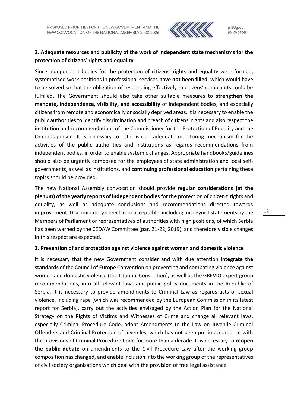

## **2. Adequate resources and publicity of the work of independent state mechanisms for the protection of citizens' rights and equality**

Since independent bodies for the protection of citizens' rights and equality were formed, systematised work positions in professional services **have not been filled**, which would have to be solved so that the obligation of responding effectively to citizens' complaints could be fulfilled. The Government should also take other suitable measures to **strengthen the mandate, independence, visibility, and accessibility** of independent bodies, and especially citizens from remote and economically or socially deprived areas. It is necessary to enable the public authorities to identify discrimination and breach of citizens' rights and also respect the institution and recommendations of the Commissioner for the Protection of Equality and the Ombuds-person. It is necessary to establish an adequate monitoring mechanism for the activities of the public authorities and institutions as regards recommendations from independent bodies, in order to enable systemic changes. Appropriate handbooks/guidelines should also be urgently composed for the employees of state administration and local selfgovernments, as well as institutions, and **continuing professional education** pertaining these topics should be provided.

The new National Assembly convocation should provide **regular considerations (at the plenum) of the yearly reports of independent bodies** for the protection of citizens' rights and equality, as well as adequate conclusions and recommendations directed towards improvement. Discriminatory speech is unacceptable, including misogynist statements by the Members of Parliament or representatives of authorities with high positions, of which Serbia has been warned by the CEDAW Committee (par. 21-22, 2019), and therefore visible changes in this respect are expected.

### **3. Prevention of and protection against violence against women and domestic violence**

It is necessary that the new Government consider and with due attention **integrate the standards** of the Council of Europe Convention on preventing and combating violence against women and domestic violence (the Istanbul Convention), as well as the GREVIO expert group recommendations, into all relevant laws and public policy documents in the Republic of Serbia. It is necessary to provide amendments to Criminal Law as regards acts of sexual violence, including rape (which was recommended by the European Commission in its latest report for Serbia), carry out the activities envisaged by the Action Plan for the National Strategy on the Rights of Victims and Witnesses of Crime and change all relevant laws, especially Criminal Procedure Code, adopt Amendments to the Law on Juvenile Criminal Offenders and Criminal Protection of Juveniles, which has not been put in accordance with the provisions of Criminal Procedure Code for more than a decade. It is necessary to **reopen the public debate** on amendments to the Civil Procedure Law after the working group composition has changed, and enable inclusion into the working group of the representatives of civil society organisations which deal with the provision of free legal assistance.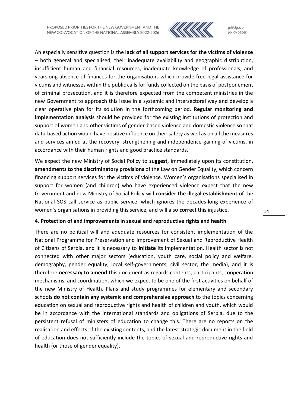

prEUgovor policy paper

An especially sensitive question is the **lack of all support services for the victims of violence** – both general and specialised, their inadequate availability and geographic distribution, insufficient human and financial resources, inadequate knowledge of professionals, and yearslong absence of finances for the organisations which provide free legal assistance for victims and witnesses within the public calls for funds collected on the basis of postponement of criminal prosecution, and it is therefore expected from the competent ministries in the new Government to approach this issue in a systemic and intersectoral way and develop a clear operative plan for its solution in the forthcoming period. **Regular monitoring and implementation analysis** should be provided for the existing institutions of protection and support of women and other victims of gender-based violence and domestic violence so that data-based action would have positive influence on their safety as well as on all the measures and services aimed at the recovery, strengthening and independence-gaining of victims, in accordance with their human rights and good practice standards.

We expect the new Ministry of Social Policy to **suggest**, immediately upon its constitution, **amendments to the discriminatory provisions** of the Law on Gender Equality, which concern financing support services for the victims of violence. Women's organisations specialised in support for women (and children) who have experienced violence expect that the new Government and new Ministry of Social Policy will **consider the illegal establishment** of the National SOS call service as public service, which ignores the decades-long experience of women's organisations in providing this service, and will also **correct** this injustice.

### **4. Protection of and improvements in sexual and reproductive rights and health**

There are no political will and adequate resources for consistent implementation of the National Programme for Preservation and Improvement of Sexual and Reproductive Health of Citizens of Serbia, and it is necessary to **initiate** its implementation. Health sector is not connected with other major sectors (education, youth care, social policy and welfare, demography, gender equality, local self-governments, civil sector, the media), and it is therefore **necessary to amend** this document as regards contents, participants, cooperation mechanisms, and coordination, which we expect to be one of the first activities on behalf of the new Ministry of Health. Plans and study programmes for elementary and secondary schools **do not contain any systemic and comprehensive approach** to the topics concerning education on sexual and reproductive rights and health of children and youth, which would be in accordance with the international standards and obligations of Serbia, due to the persistent refusal of ministers of education to change this. There are no reports on the realisation and effects of the existing contents, and the latest strategic document in the field of education does not sufficiently include the topics of sexual and reproductive rights and health (or those of gender equality).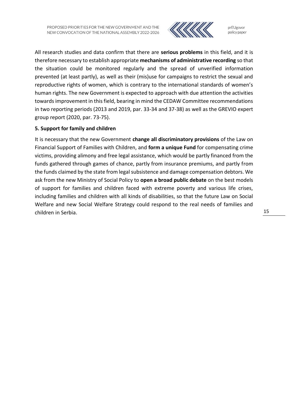

prEUgovor policy paper

All research studies and data confirm that there are **serious problems** in this field, and it is therefore necessary to establish appropriate **mechanisms of administrative recording** so that the situation could be monitored regularly and the spread of unverified information prevented (at least partly), as well as their (mis)use for campaigns to restrict the sexual and reproductive rights of women, which is contrary to the international standards of women's human rights. The new Government is expected to approach with due attention the activities towards improvement in this field, bearing in mind the CEDAW Committee recommendations in two reporting periods (2013 and 2019, par. 33-34 and 37-38) as well as the GREVIO expert group report (2020, par. 73-75).

### **5. Support for family and children**

It is necessary that the new Government **change all discriminatory provisions** of the Law on Financial Support of Families with Children, and **form a unique Fund** for compensating crime victims, providing alimony and free legal assistance, which would be partly financed from the funds gathered through games of chance, partly from insurance premiums, and partly from the funds claimed by the state from legal subsistence and damage compensation debtors. We ask from the new Ministry of Social Policy to **open a broad public debate** on the best models of support for families and children faced with extreme poverty and various life crises, including families and children with all kinds of disabilities, so that the future Law on Social Welfare and new Social Welfare Strategy could respond to the real needs of families and children in Serbia.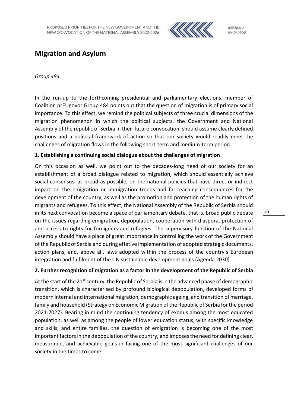

## <span id="page-17-0"></span>**Migration and Asylum**

### *Group 484*

In the run-up to the forthcoming presidential and parliamentary elections, member of Coalition prEUgovor Group 484 points out that the question of migration is of primary social importance. To this effect, we remind the political subjects of three crucial dimensions of the migration phenomenon in which the political subjects, the Government and National Assembly of the republic of Serbia in their future convocation, should assume clearly defined positions and a political framework of action so that our society would readily meet the challenges of migration flows in the following short-term and medium-term period.

### **1. Establishing a continuing social dialogue about the challenges of migration**

On this occasion as well, we point out to the decades-long need of our society for an establishment of a broad dialogue related to migration, which should essentially achieve social consensus, as broad as possible, on the national policies that have direct or indirect impact on the emigration or immigration trends and far-reaching consequences for the development of the country, as well as the promotion and protection of the human rights of migrants and refugees. To this effect, the National Assembly of the Republic of Serbia should in its next convocation become a space of parliamentary debate, that is, broad public debate on the issues regarding emigration, depopulation, cooperation with diaspora, protection of and access to rights for foreigners and refugees. The supervisory function of the National Assembly should have a place of great importance in controlling the work of the Government of the Republic of Serbia and during effetive implementation of adopted strategic documents, action plans, and, above all, laws adopted within the process of the country's European integration and fulfilment of the UN sustainable development goals (Agenda 2030).

### **2. Further recognition of migration as a factor in the development of the Republic of Serbia**

At the start of the 21<sup>st</sup> century, the Republic of Serbia is in the advanced phase of demographic transition, which is characterised by profound biological depopulation, developed forms of modern internal and international migration, demographic ageing, and transition of marriage, family and household (Strategy on Economic Migration of the Republic of Serbia for the period 2021-2027). Bearing in mind the continuing tendency of exodus among the most educated population, as well as among the people of lower education status, with specific knowledge and skills, and entire families, the question of emigration is becoming one of the most important factors in the depopulation of the country, and imposes the need for defining clear, measurable, and achievable goals in facing one of the most significant challenges of our society in the times to come.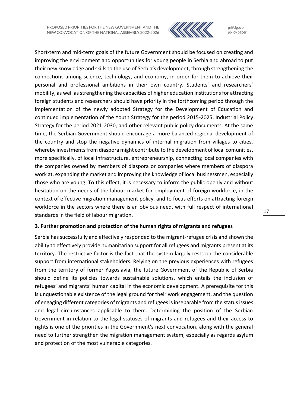

prEUgovor policy paper

Short-term and mid-term goals of the future Government should be focused on creating and improving the environment and opportunities for young people in Serbia and abroad to put their new knowledge and skills to the use of Serbia's development, through strengthening the connections among science, technology, and economy, in order for them to achieve their personal and professional ambitions in their own country. Students' and researchers' mobility, as well as strengthening the capacities of higher education institutions for attracting foreign students and researchers should have priority in the forthcoming period through the implementation of the newly adopted Strategy for the Development of Education and continued implementation of the Youth Strategy for the period 2015-2025, Industrial Policy Strategy for the period 2021-2030, and other relevant public policy documents. At the same time, the Serbian Government should encourage a more balanced regional development of the country and stop the negative dynamics of internal migration from villages to cities, whereby investments from diaspora might contribute to the development of local comunities, more specifically, of local infrastructure, entrepreneurship, connecting local companies with the companies owned by members of diaspora or companies where members of diaspora work at, expanding the market and improving the knowledge of local businessmen, especially those who are young. To this effect, it is necessary to inform the public openly and without hesitation on the needs of the labour market for employment of foreign workforce, in the context of effective migration management policy, and to focus efforts on attracting foreign workforce in the sectors where there is an obvious need, with full respect of international standards in the field of labour migration.

### **3. Further promotion and protection of the human rights of migrants and refugees**

Serbia has successfully and effectively responded to the migrant-refugee crisis and shown the ability to effectively provide humanitarian support for all refugees and migrants present at its territory. The restrictive factor is the fact that the system largely rests on the considerable support from international stakeholders. Relying on the previous experiences with refugees from the territory of former Yugoslavia, the future Government of the Republic of Serbia should define its policies towards sustainable solutions, which entails the inclusion of refugees' and migrants' human capital in the economic development. A prerequisite for this is unquestionable existence of the legal ground for their work engagement, and the question of engaging different categories of migrants and refugees is inseparable from the statusissues and legal circumstances applicable to them. Determining the position of the Serbian Government in relation to the legal statuses of migrants and refugees and their access to rights is one of the priorities in the Government's next convocation, along with the general need to further strengthen the migration management system, especially as regards asylum and protection of the most vulnerable categories.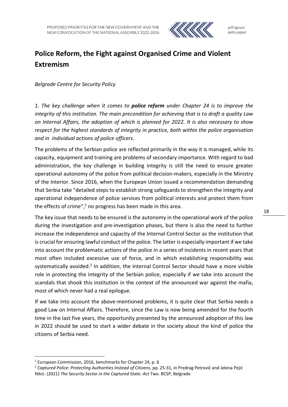

## <span id="page-19-0"></span>**Police Reform, the Fight against Organised Crime and Violent Extremism**

*Belgrade Centre for Security Policy* 

*1. The key challenge when it comes to police reform under Chapter 24 is to improve the integrity of this institution. The main precondition for achieving that is to draft a quality Law on Internal Affairs, the adoption of which is planned for 2022. It is also necessary to show respect for the highest standards of integrity in practice, both within the police organisation and in individual actions of police officers.*

The problems of the Serbian police are reflected primarily in the way it is managed, while its capacity, equipment and training are problems of secondary importance. With regard to bad administration, the key challenge in building integrity is still the need to ensure greater operational autonomy of the police from political decision-makers, especially in the Ministry of the Interior. Since 2016, when the European Union issued a recommendation demanding that Serbia take "detailed steps to establish strong safeguards to strengthen the integrity and operational independence of police services from political interests and protect them from the effects of crime", $1$  no progress has been made in this area.

The key issue that needs to be ensured is the autonomy in the operational work of the police during the investigation and pre-investigation phases, but there is also the need to further increase the independence and capacity of the Internal Control Sector as the institution that is crucial for ensuring lawful conduct of the police. The latter is especially important if we take into account the problematic actions of the police in a series of incidents in recent years that most often included excessive use of force, and in which establishing responsibility was systematically avoided.<sup>2</sup> In addition, the Internal Control Sector should have a more visible role in protecting the integrity of the Serbian police, especially if we take into account the scandals that shook this institution in the context of the announced war against the mafia, most of which never had a real epilogue.

If we take into account the above-mentioned problems, it is quite clear that Serbia needs a good Law on Internal Affairs. Therefore, since the Law is now being amended for the fourth time in the last five years, the opportunity presented by the announced adoption of this law in 2022 should be used to start a wider debate in the society about the kind of police the citizens of Serbia need.

<sup>1</sup> European Commission, 2016, benchmarks for Chapter 24, p. 6

<sup>2</sup> *Captured Police: Protecting Authorities Instead of Citizens*, pp. 25-31, in Predrag Petrović and Jelena Pejić Nikić. (2021) *The Security Sector in the Captured State: Act* Two. BCSP, Belgrade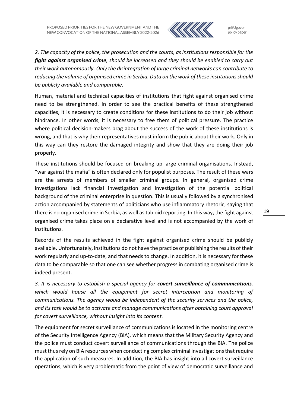

*2. The capacity of the police, the prosecution and the courts, as institutions responsible for the fight against organised crime, should be increased and they should be enabled to carry out their work autonomously. Only the disintegration of large criminal networks can contribute to reducing the volume of organised crime in Serbia. Data on the work of these institutions should be publicly available and comparable.*

Human, material and technical capacities of institutions that fight against organised crime need to be strengthened. In order to see the practical benefits of these strengthened capacities, it is necessary to create conditions for these institutions to do their job without hindrance. In other words, it is necessary to free them of political pressure. The practice where political decision-makers brag about the success of the work of these institutions is wrong, and that is why their representatives must inform the public about their work. Only in this way can they restore the damaged integrity and show that they are doing their job properly.

These institutions should be focused on breaking up large criminal organisations. Instead, "war against the mafia" is often declared only for populist purposes. The result of these wars are the arrests of members of smaller criminal groups. In general, organised crime investigations lack financial investigation and investigation of the potential political background of the criminal enterprise in question. This is usually followed by a synchronised action accompanied by statements of politicians who use inflammatory rhetoric, saying that there is no organised crime in Serbia, as well astabloid reporting. In this way, the fight against organised crime takes place on a declarative level and is not accompanied by the work of institutions.

Records of the results achieved in the fight against organised crime should be publicly available. Unfortunately, institutions do not have the practice of publishing the results of their work regularly and up-to-date, and that needs to change. In addition, it is necessary for these data to be comparable so that one can see whether progress in combating organised crime is indeed present.

*3. It is necessary to establish a special agency for covert surveillance of communications, which would house all the equipment for secret interception and monitoring of communications. The agency would be independent of the security services and the police, and its task would be to activate and manage communications after obtaining court approval for covert surveillance, without insight into its content.*

The equipment for secret surveillance of communications is located in the monitoring centre of the Security Intelligence Agency (BIA), which means that the Military Security Agency and the police must conduct covert surveillance of communications through the BIA. The police must thus rely on BIA resources when conducting complex criminal investigations that require the application of such measures. In addition, the BIA has insight into all covert surveillance operations, which is very problematic from the point of view of democratic surveillance and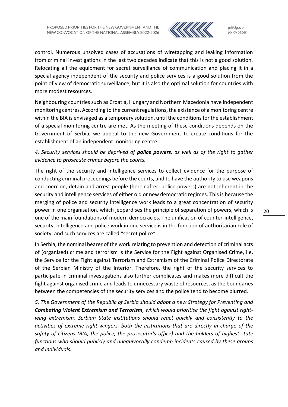

control. Numerous unsolved cases of accusations of wiretapping and leaking information from criminal investigations in the last two decades indicate that this is not a good solution. Relocating all the equipment for secret surveillance of communication and placing it in a special agency independent of the security and police services is a good solution from the point of view of democratic surveillance, but it is also the optimal solution for countries with more modest resources.

Neighbouring countries such as Croatia, Hungary and Northern Macedonia have independent monitoring centres. According to the current regulations, the existence of a monitoring centre within the BIA is envisaged as a temporary solution, until the conditions for the establishment of a special monitoring centre are met. As the meeting of these conditions depends on the Government of Serbia, we appeal to the new Government to create conditions for the establishment of an independent monitoring centre.

## *4. Security services should be deprived of police powers, as well as of the right to gather evidence to prosecute crimes before the courts.*

The right of the security and intelligence services to collect evidence for the purpose of conducting criminal proceedings before the courts, and to have the authority to use weapons and coercion, detain and arrest people (hereinafter: police powers) are not inherent in the security and intelligence services of either old or new democratic regimes. This is because the merging of police and security intelligence work leads to a great concentration of security power in one organisation, which jeopardises the principle of separation of powers, which is one of the main foundations of modern democracies. The unification of counter-intelligence, security, intelligence and police work in one service is in the function of authoritarian rule of society, and such services are called "secret police".

In Serbia, the nominal bearer of the work relating to prevention and detection of criminal acts of (organised) crime and terrorism is the Service for the Fight against Organised Crime, i.e. the Service for the Fight against Terrorism and Extremism of the Criminal Police Directorate of the Serbian Ministry of the Interior. Therefore, the right of the security services to participate in criminal investigations also further complicates and makes more difficult the fight against organised crime and leads to unnecessary waste of resources, as the boundaries between the competencies of the security services and the police tend to become blurred.

*5. The Government of the Republic of Serbia should adopt a new Strategy for Preventing and Combating Violent Extremism and Terrorism, which would prioritise the fight against rightwing extremism. Serbian State institutions should react quickly and consistently to the activities of extreme right-wingers, both the institutions that are directly in charge of the safety of citizens (BIA, the police, the prosecutor's office) and the holders of highest state functions who should publicly and unequivocally condemn incidents caused by these groups and individuals.*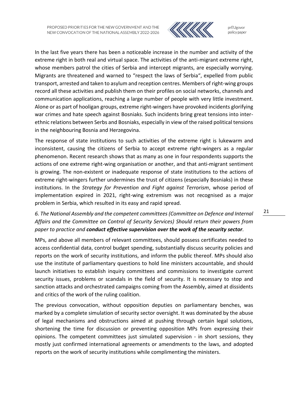

prEUgovor policy paper

In the last five years there has been a noticeable increase in the number and activity of the extreme right in both real and virtual space. The activities of the anti-migrant extreme right, whose members patrol the cities of Serbia and intercept migrants, are especially worrying. Migrants are threatened and warned to "respect the laws of Serbia", expelled from public transport, arrested and taken to asylum and reception centres. Members of right-wing groups record all these activities and publish them on their profiles on social networks, channels and communication applications, reaching a large number of people with very little investment. Alone or as part of hooligan groups, extreme right-wingers have provoked incidents glorifying war crimes and hate speech against Bosniaks. Such incidents bring great tensions into interethnic relations between Serbs and Bosniaks, especially in view of the raised political tensions in the neighbouring Bosnia and Herzegovina.

The response of state institutions to such activities of the extreme right is lukewarm and inconsistent, causing the citizens of Serbia to accept extreme right-wingers as a regular phenomenon. Recent research shows that as many as one in four respondents supports the actions of one extreme right-wing organisation or another, and that anti-migrant sentiment is growing. The non-existent or inadequate response of state institutions to the actions of extreme right-wingers further undermines the trust of citizens (especially Bosniaks) in these institutions. In the *Strategy for Prevention and Fight against Terrorism*, whose period of implementation expired in 2021, right-wing extremism was not recognised as a major problem in Serbia, which resulted in its easy and rapid spread.

## *6. The National Assembly and the competent committees (Committee on Defence and Internal Affairs and the Committee on Control of Security Services) Should return their powers from paper to practice and conduct effective supervision over the work of the security sector.*

MPs, and above all members of relevant committees, should possess certificates needed to access confidential data, control budget spending, substantially discuss security policies and reports on the work of security institutions, and inform the public thereof. MPs should also use the institute of parliamentary questions to hold line ministers accountable, and should launch initiatives to establish inquiry committees and commissions to investigate current security issues, problems or scandals in the field of security. It is necessary to stop and sanction attacks and orchestrated campaigns coming from the Assembly, aimed at dissidents and critics of the work of the ruling coalition.

The previous convocation, without opposition deputies on parliamentary benches, was marked by a complete simulation of security sector oversight. It was dominated by the abuse of legal mechanisms and obstructions aimed at pushing through certain legal solutions, shortening the time for discussion or preventing opposition MPs from expressing their opinions. The competent committees just simulated supervision - in short sessions, they mostly just confirmed international agreements or amendments to the laws, and adopted reports on the work of security institutions while complimenting the ministers.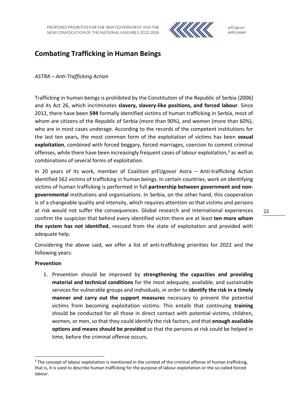

## <span id="page-23-0"></span>**Combating Trafficking in Human Beings**

### *ASTRA – Anti-Trafficking Action*

Trafficking in human beings is prohibited by the Constitution of the Republic of Serbia (2006) and its Act 26, which incriminates **slavery, slavery-like positions, and forced labour**. Since 2012, there have been **594** formally identified victims of human trafficking in Serbia, most of whom are citizens of the Republic of Serbia (more than 90%), and women (more than 60%), who are in most cases underage. According to the records of the competent institutions for the last ten years, the most common form of the exploitation of victims has been **sexual exploitation**, combined with forced beggary, forced marriages, coercion to commit criminal offenses, while there have been increasingly frequent cases of labour exploitation, $3$  as well as combinations of several forms of exploitation.

In 20 years of its work, member of Coalition prEUgovor Astra – Anti-trafficking Action identified 562 victims of trafficking in human beings. In certain countries, work on identifying victims of human trafficking is performed in full **partnership between government and nongovernmental** institutions and organisations. In Serbia, on the other hand, this cooperation is of a changeable quality and intensity, which requires attention so that victims and persons at risk would not suffer the consequences. Global research and international experiences confirm the suspicion that behind every identified victim there are at least **ten more whom the system has not identified**, rescued from the state of exploitation and provided with adequate help.

Considering the above said, we offer a list of anti-trafficking priorities for 2022 and the following years:

### **Prevention**

1

1. Prevention should be improved by **strengthening the capacities and providing material and technical conditions** for the most adequate, available, and sustainable services for vulnerable groups and individuals, in order to **identify the risk in a timely manner and carry out the support measures** necessary to prevent the potential victims from becoming exploitation victims. This entails that continuing **training** should be conducted for all those in direct contact with potential victims, children, women, or men, so that they could identify the risk factors, and that **enough available options and means should be provided** so that the persons at risk could be helped in time, before the criminal offense occurs.

<sup>&</sup>lt;sup>3</sup> The concept of labour exploitation is mentioned in the context of the criminal offense of human trafficking, that is, it is used to describe human trafficking for the purpose of labour exploitation or the so-called forced labour.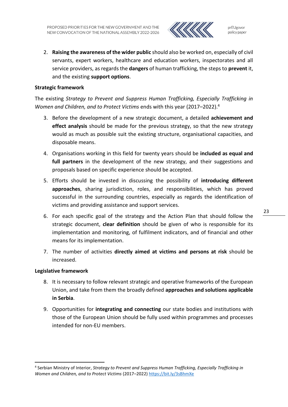

2. **Raising the awareness of the wider public** should also be worked on, especially of civil servants, expert workers, healthcare and education workers, inspectorates and all service providers, as regards the **dangers** of human trafficking, the steps to **prevent** it, and the existing **support options**.

### **Strategic framework**

The existing *Strategy to Prevent and Suppress Human Trafficking, Especially Trafficking in Women and Children, and to Protect Victims* ends with this year (2017–2022). 4

- 3. Before the development of a new strategic document, a detailed **achievement and effect analysis** should be made for the previous strategy, so that the new strategy would as much as possible suit the existing structure, organisational capacities, and disposable means.
- 4. Organisations working in this field for twenty years should be **included as equal and full partners** in the development of the new strategy, and their suggestions and proposals based on specific experience should be accepted.
- 5. Efforts should be invested in discussing the possibility of **introducing different approaches**, sharing jurisdiction, roles, and responsibilities, which has proved successful in the surrounding countries, especially as regards the identification of victims and providing assistance and support services.
- 6. For each specific goal of the strategy and the Action Plan that should follow the strategic document, **clear definition** should be given of who is responsible for its implementation and monitoring, of fulfilment indicators, and of financial and other means for its implementation.
- 7. The number of activities **directly aimed at victims and persons at risk** should be increased.

### **Legislative framework**

**.** 

- 8. It is necessary to follow relevant strategic and operative frameworks of the European Union, and take from them the broadly defined **approaches and solutions applicable in Serbia**.
- 9. Opportunities for **integrating and connecting** our state bodies and institutions with those of the European Union should be fully used within programmes and processes intended for non-EU members.

<sup>4</sup> Serbian Ministry of Interior, *Strategy to Prevent and Suppress Human Trafficking, Especially Trafficking in Women and Children, and to Protect Victims* (2017–2022) <https://bit.ly/3sBhmXe>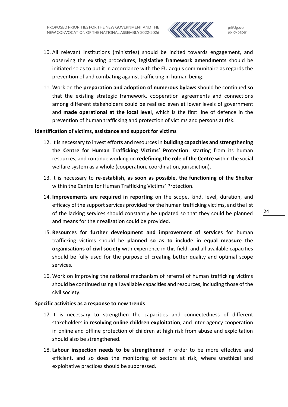

- 10. All relevant institutions (ministries) should be incited towards engagement, and observing the existing procedures, **legislative framework amendments** should be initiated so as to put it in accordance with the EU acquis communitaire as regards the prevention of and combating against trafficking in human being.
- 11. Work on the **preparation and adoption of numerous bylaws** should be continued so that the existing strategic framework, cooperation agreements and connections among different stakeholders could be realised even at lower levels of government and **made operational at the local level**, which is the first line of defence in the prevention of human trafficking and protection of victims and persons at risk.

### **Identification of victims, assistance and support for victims**

- 12. It is necessary to invest efforts and resources in **building capacities and strengthening the Centre for Human Trafficking Victims' Protection**, starting from its human resources, and continue working on **redefining the role of the Centre** within the social welfare system as a whole (cooperation, coordination, jurisdiction).
- 13. It is necessary to **re-establish, as soon as possible, the functioning of the Shelter** within the Centre for Human Trafficking Victims' Protection.
- 14. **Improvements are required in reporting** on the scope, kind, level, duration, and efficacy of the support services provided for the human trafficking victims, and the list of the lacking services should constantly be updated so that they could be planned and means for their realisation could be provided.
- 15. **Resources for further development and improvement of services** for human trafficking victims should be **planned so as to include in equal measure the organisations of civil society** with experience in this field, and all available capacities should be fully used for the purpose of creating better quality and optimal scope services.
- 16. Work on improving the national mechanism of referral of human trafficking victims should be continued using all available capacities and resources, including those of the civil society.

### **Specific activities as a response to new trends**

- 17. It is necessary to strengthen the capacities and connectedness of different stakeholders in **resolving online children exploitation**, and inter-agency cooperation in online and offline protection of children at high risk from abuse and exploitation should also be strengthened.
- 18. **Labour inspection needs to be strengthened** in order to be more effective and efficient, and so does the monitoring of sectors at risk, where unethical and exploitative practices should be suppressed.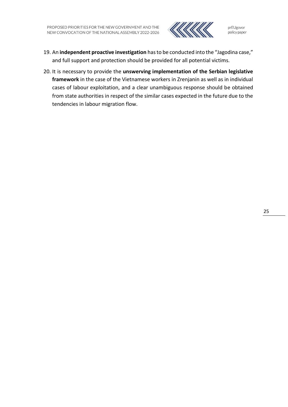

- 19. An **independent proactive investigation** has to be conducted into the "Jagodina case," and full support and protection should be provided for all potential victims.
- 20. It is necessary to provide the **unswerving implementation of the Serbian legislative framework** in the case of the Vietnamese workers in Zrenjanin as well as in individual cases of labour exploitation, and a clear unambiguous response should be obtained from state authorities in respect of the similar cases expected in the future due to the tendencies in labour migration flow.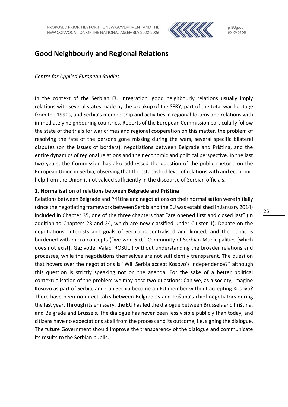

## <span id="page-27-0"></span>**Good Neighbourly and Regional Relations**

### *Centre for Applied European Studies*

In the context of the Serbian EU integration, good neighbourly relations usually imply relations with several states made by the breakup of the SFRY, part of the total war heritage from the 1990s, and Serbia's membership and activities in regional forums and relations with immediately neighbouring countries. Reports of the European Commission particularly follow the state of the trials for war crimes and regional cooperation on this matter, the problem of resolving the fate of the persons gone missing during the wars, several specific bilateral disputes (on the issues of borders), negotiations between Belgrade and Priština, and the entire dynamics of regional relations and their economic and political perspective. In the last two years, the Commission has also addressed the question of the public rhetoric on the European Union in Serbia, observing that the established level of relations with and economic help from the Union is not valued sufficiently in the discourse of Serbian officials.

### **1. Normalisation of relations between Belgrade and Priština**

Relations between Belgrade and Priština and negotiations on their normalisation were initially (since the negotiating framework between Serbia and the EU was established in January 2014) included in Chapter 35, one of the three chapters that "are opened first and closed last" (in addition to Chapters 23 and 24, which are now classified under Cluster 1). Debate on the negotiations, interests and goals of Serbia is centralised and limited, and the public is burdened with micro concepts ("we won 5-0," Community of Serbian Municipalities [which does not exist], Gazivode, Valač, ROSU…) without understanding the broader relations and processes, while the negotiations themselves are not sufficiently transparent. The question that hovers over the negotiations is "Will Serbia accept Kosovo's independence?" although this question is strictly speaking not on the agenda. For the sake of a better political contextualisation of the problem we may pose two questions: Can we, as a society, imagine Kosovo as part of Serbia, and Can Serbia become an EU member without accepting Kosovo? There have been no direct talks between Belgrade's and Priština's chief negotiators during the last year. Through its emissary, the EU has led the dialogue between Brussels and Priština, and Belgrade and Brussels. The dialogue has never been less visible publicly than today, and citizens have no expectations at all from the process and its outcome, i.e. signing the dialogue. The future Government should improve the transparency of the dialogue and communicate its results to the Serbian public.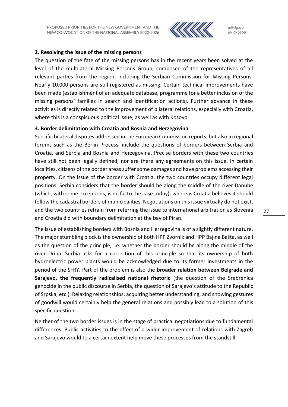

prEUgovor policy paper

### **2. Resolving the issue of the missing persons**

The question of the fate of the missing persons has in the recent years been solved at the level of the multilateral Missing Persons Group, composed of the representatives of all relevant parties from the region, including the Serbian Commission for Missing Persons. Nearly 10,000 persons are still registered as missing. Certain technical improvements have been made (establishment of an adequate database, programme for a better inclusion of the missing persons' families in search and identification actions). Further advance in these activities is directly related to the improvement of bilateral relations, especially with Croatia, where this is a conspicuous political issue, as well as with Kosovo.

#### **3. Border delimitation with Croatia and Bosnia and Herzegovina**

Specific bilateral disputes addressed in the European Commission reports, but also in regional forums such as the Berlin Process, include the questions of borders between Serbia and Croatia, and Serbia and Bosnia and Herzegovina. Precise borders with these two countries have still not been legally defined, nor are there any agreements on this issue. In certain localities, citizens of the border areas suffer some damages and have problems accessing their property. On the issue of the border with Croatia, the two countries occupy different legal positions: Serbia considers that the border should be along the middle of the river Danube (which, with some exceptions, is de facto the case today), whereas Croatia believes it should follow the cadastral borders of municipalities. Negotiations on this issue virtually do not exist, and the two countries refrain from referring the issue to international arbitration as Slovenia and Croatia did with boundary delimitation at the bay of Piran.

The issue of establishing borders with Bosnia and Herzegovina is of a slightly different nature. The major stumbling block is the ownership of both HPP Zvornik and HPP Bajina Bašta, as well as the question of the principle, i.e. whether the border should be along the middle of the river Drina. Serbia asks for a correction of this principle so that its ownership of both hydroelectric power plants would be acknowledged due to its former investments in the period of the SFRY. Part of the problem is also the **broader relation between Belgrade and Sarajevo, the frequently radicalised national rhetoric** (the question of the Srebrenica genocide in the public discourse in Serbia, the question of Sarajevo's attitude to the Republic of Srpska, etc.). Relaxing relationships, acquiring better understanding, and showing gestures of goodwill would certainly help the general relations and possibly lead to a solution of this specific question.

Neither of the two border issues is in the stage of practical negotiations due to fundamental differences. Public activities to the effect of a wider improvement of relations with Zagreb and Sarajevo would to a certain extent help move these processes from the standstill.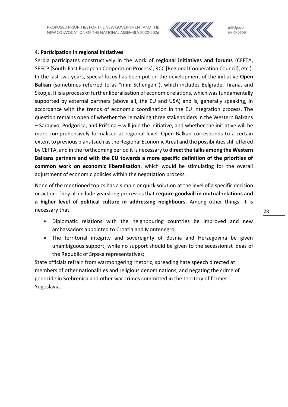

prEUgovor policy paper

### **4. Participation in regional initiatives**

Serbia participates constructively in the work of **regional initiatives and forums** (CEFTA, SEECP [South-East European Cooperation Process], RCC [Regional Cooperation Council], etc.). In the last two years, special focus has been put on the development of the initiative **Open Balkan** (sometimes referred to as "mini Schengen"), which includes Belgrade, Tirana, and Skopje. It is a process of further liberalisation of economic relations, which was fundamentally supported by external partners (above all, the EU and USA) and is, generally speaking, in accordance with the trends of economic coordination in the EU integration process. The question remains open of whether the remaining three stakeholders in the Western Balkans – Sarajevo, Podgorica, and Priština – will join the initiative, and whether the initiative will be more comprehensively formalised at regional level. Open Balkan corresponds to a certain extent to previous plans (such as the Regional Economic Area) and the possibilities still offered by CEFTA, and in the forthcoming period it is necessary to **direct the talks among the Western Balkans partners and with the EU towards a more specific definition of the priorities of common work on economic liberalisation**, which would be stimulating for the overall adjustment of economic policies within the negotiation process.

None of the mentioned topics has a simple or quick solution at the level of a specific decision or action. They all include yearslong processes that **require goodwill in mutual relations and a higher level of political culture in addressing neighbours**. Among other things, it is necessary that

- Diplomatic relations with the neighbouring countries be improved and new ambassadors appointed to Croatia and Montenegro;
- The territorial integrity and sovereignty of Bosnia and Herzegovina be given unambiguous support, while no support should be given to the secessionist ideas of the Republic of Srpska representatives;

State officials refrain from warmongering rhetoric, spreading hate speech directed at members of other nationalities and religious denominations, and negating the crime of genocide in Srebrenica and other war crimes committed in the territory of former Yugoslavia.